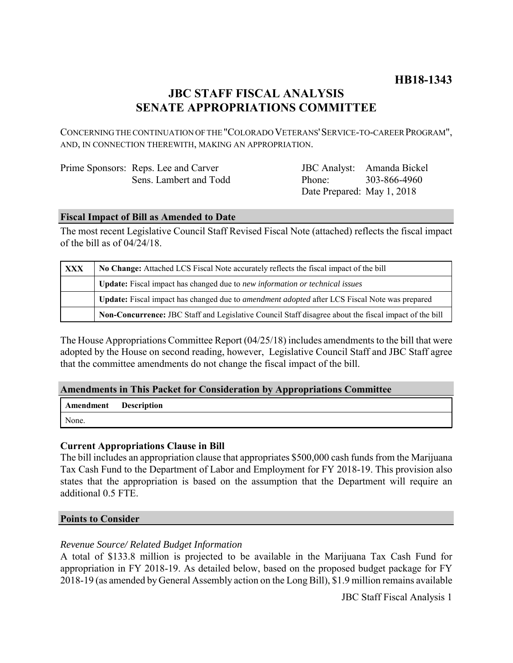# **HB18-1343**

# **JBC STAFF FISCAL ANALYSIS SENATE APPROPRIATIONS COMMITTEE**

CONCERNING THE CONTINUATION OF THE "COLORADO VETERANS'SERVICE-TO-CAREER PROGRAM", AND, IN CONNECTION THEREWITH, MAKING AN APPROPRIATION.

| Prime Sponsors: Reps. Lee and Carver |
|--------------------------------------|
| Sens. Lambert and Todd               |

JBC Analyst: Amanda Bickel Phone: Date Prepared: May 1, 2018 303-866-4960

## **Fiscal Impact of Bill as Amended to Date**

The most recent Legislative Council Staff Revised Fiscal Note (attached) reflects the fiscal impact of the bill as of 04/24/18.

| <b>XXX</b> | No Change: Attached LCS Fiscal Note accurately reflects the fiscal impact of the bill                       |
|------------|-------------------------------------------------------------------------------------------------------------|
|            | <b>Update:</b> Fiscal impact has changed due to new information or technical issues                         |
|            | <b>Update:</b> Fiscal impact has changed due to <i>amendment adopted</i> after LCS Fiscal Note was prepared |
|            | Non-Concurrence: JBC Staff and Legislative Council Staff disagree about the fiscal impact of the bill       |

The House Appropriations Committee Report (04/25/18) includes amendments to the bill that were adopted by the House on second reading, however, Legislative Council Staff and JBC Staff agree that the committee amendments do not change the fiscal impact of the bill.

## **Amendments in This Packet for Consideration by Appropriations Committee**

| Amendment Description |  |
|-----------------------|--|
| None.                 |  |

# **Current Appropriations Clause in Bill**

The bill includes an appropriation clause that appropriates \$500,000 cash funds from the Marijuana Tax Cash Fund to the Department of Labor and Employment for FY 2018-19. This provision also states that the appropriation is based on the assumption that the Department will require an additional 0.5 FTE.

## **Points to Consider**

## *Revenue Source/ Related Budget Information*

A total of \$133.8 million is projected to be available in the Marijuana Tax Cash Fund for appropriation in FY 2018-19. As detailed below, based on the proposed budget package for FY 2018-19 (as amended by General Assembly action on the Long Bill), \$1.9 million remains available